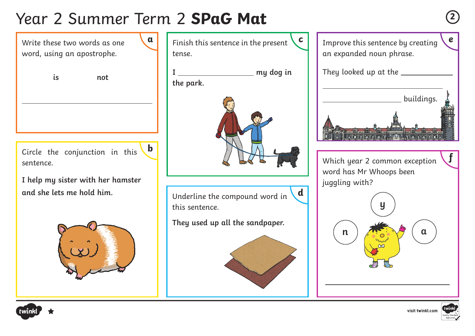# Year 2 Summer Term 2 **SPaG Mat <sup>2</sup>**

Circle the conjunction in this sentence. **I help my sister with her hamster and she lets me hold him.** Write these two words as one word, using an apostrophe. **b is not**





Underline the compound word in this sentence. **d**

**They used up all the sandpaper.**









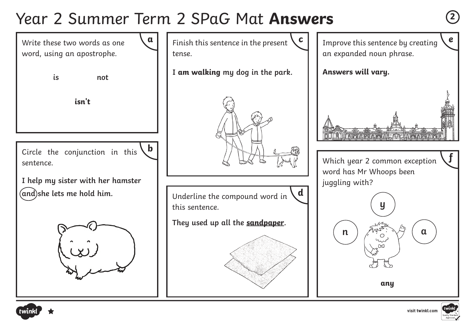### Year 2 Summer Term 2 SPaG Mat **Answers <sup>2</sup>**







**f**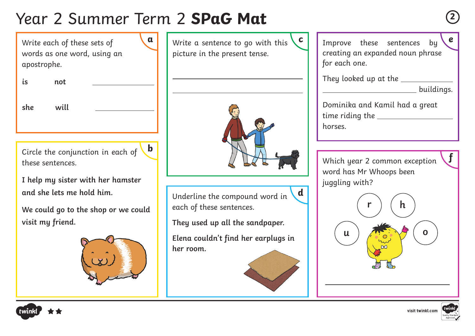## Year 2 Summer Term 2 **SPaG Mat <sup>2</sup>**

Write each of these sets of words as one word, using an apostrophe.

**is not** 

| I<br>۰.<br>v.<br>۰. |  |  |
|---------------------|--|--|

**she will** 

**b**

Circle the conjunction in each of these sentences.

**I help my sister with her hamster and she lets me hold him.**

**We could go to the shop or we could visit my friend.**



Write a sentence to go with this picture in the present tense.



Underline the compound word in each of these sentences.

**They used up all the sandpaper.** 

**Elena couldn't find her earplugs in her room.**



**d**

**a** Write a sentence to go with this **c e** Improve these sentences by **e** creating an expanded noun phrase for each one.

They looked up at the \_\_\_\_\_\_\_\_\_\_\_\_\_

|  | buildings. |  |  |  |  |
|--|------------|--|--|--|--|
|  |            |  |  |  |  |

**f**

Dominika and Kamil had a great time riding the horses.

Which year 2 common exception word has Mr Whoops been juggling with?





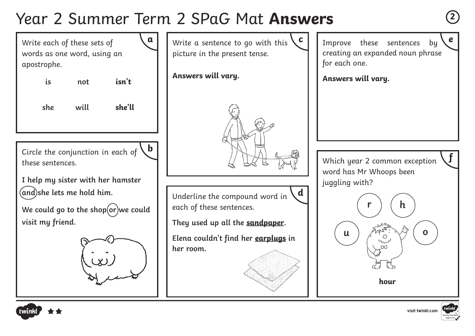### Year 2 Summer Term 2 SPaG Mat **Answers <sup>2</sup>**

Write each of these sets of words as one word, using an apostrophe.

**is not isn't**

**she will she'll**

**b**

Circle the conjunction in each of these sentences.

**I help my sister with her hamster and she lets me hold him.**

We could go to the shop(or)we could **visit my friend.**



 $\alpha$  | | Write a sentence to go with this  $\mathcal{C}$  | | Improve these sentences by  $\mathcal{C}$ picture in the present tense.

**Answers will vary.**



Underline the compound word in each of these sentences. **d**

**They used up all the sandpaper.** 

**Elena couldn't find her earplugs in her room.**

Improve these sentences by creating an expanded noun phrase for each one.

**Answers will vary.**

Which year 2 common exception word has Mr Whoops been juggling with?





**f**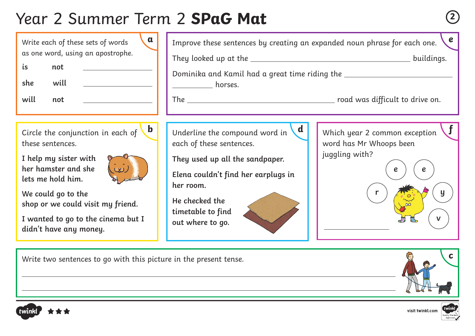# Year 2 Summer Term 2 **SPaG Mat <sup>2</sup>**



Circle the conjunction in each of these sentences.

**I help my sister with her hamster and she lets me hold him.**



**We could go to the shop or we could visit my friend.**

**I wanted to go to the cinema but I didn't have any money.**

Improve these sentences by creating an expanded noun phrase for each one. They looked up at the buildings. Dominika and Kamil had a great time riding the horses. The **road was difficult to drive on. b** Underline the compound word in  $\mathbf{d}$  Which year 2 common exception  $\mathbf{f}$ word has Mr Whoops been juggling with? **e r e e y v** Underline the compound word in each of these sentences. **They used up all the sandpaper. Elena couldn't find her earplugs in her room. He checked the timetable to find out where to go. d**

Write two sentences to go with this picture in the present tense.